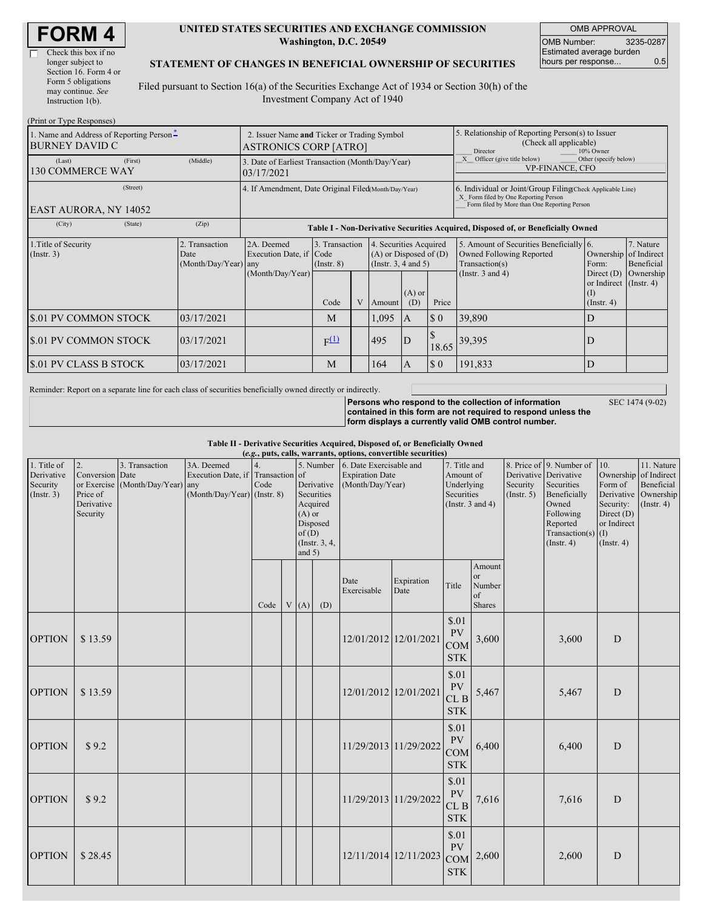| <b>FORM4</b> |
|--------------|
|--------------|

 $\overline{\Gamma}$ 

#### **UNITED STATES SECURITIES AND EXCHANGE COMMISSION Washington, D.C. 20549**

OMB APPROVAL OMB Number: 3235-0287 Estimated average burden hours per response... 0.5

#### **STATEMENT OF CHANGES IN BENEFICIAL OWNERSHIP OF SECURITIES**

Filed pursuant to Section 16(a) of the Securities Exchange Act of 1934 or Section 30(h) of the Investment Company Act of 1940

| (Print or Type Responses)                                         |                                                                                                                                                                                                                |                                                                             |                                                                                  |                                                                                                                                                                                                            |  |                    |                 |                                                                                                     |                                                                        |                                                                   |           |  |
|-------------------------------------------------------------------|----------------------------------------------------------------------------------------------------------------------------------------------------------------------------------------------------------------|-----------------------------------------------------------------------------|----------------------------------------------------------------------------------|------------------------------------------------------------------------------------------------------------------------------------------------------------------------------------------------------------|--|--------------------|-----------------|-----------------------------------------------------------------------------------------------------|------------------------------------------------------------------------|-------------------------------------------------------------------|-----------|--|
| 1. Name and Address of Reporting Person-<br><b>BURNEY DAVID C</b> |                                                                                                                                                                                                                | 2. Issuer Name and Ticker or Trading Symbol<br><b>ASTRONICS CORP [ATRO]</b> |                                                                                  |                                                                                                                                                                                                            |  |                    |                 | 5. Relationship of Reporting Person(s) to Issuer<br>(Check all applicable)<br>Director<br>10% Owner |                                                                        |                                                                   |           |  |
| (Last)<br><b>130 COMMERCE WAY</b>                                 | (First)                                                                                                                                                                                                        | (Middle)                                                                    | 3. Date of Earliest Transaction (Month/Day/Year)<br>03/17/2021                   |                                                                                                                                                                                                            |  |                    |                 |                                                                                                     | Officer (give title below)<br>Other (specify below)<br>VP-FINANCE, CFO |                                                                   |           |  |
| EAST AURORA, NY 14052                                             | (Street)                                                                                                                                                                                                       |                                                                             |                                                                                  | 4. If Amendment, Date Original Filed(Month/Day/Year)<br>6. Individual or Joint/Group Filing(Check Applicable Line)<br>X Form filed by One Reporting Person<br>Form filed by More than One Reporting Person |  |                    |                 |                                                                                                     |                                                                        |                                                                   |           |  |
| (City)                                                            | (State)                                                                                                                                                                                                        | (Zip)                                                                       | Table I - Non-Derivative Securities Acquired, Disposed of, or Beneficially Owned |                                                                                                                                                                                                            |  |                    |                 |                                                                                                     |                                                                        |                                                                   |           |  |
| 1. Title of Security<br>(Insert. 3)                               | 3. Transaction<br>2. Transaction<br>2A. Deemed<br>4. Securities Acquired<br>Execution Date, if Code<br>$(A)$ or Disposed of $(D)$<br>Date<br>(Month/Day/Year)<br>(Instr. 3, 4 and 5)<br>$($ Instr. $8)$<br>any |                                                                             |                                                                                  | 5. Amount of Securities Beneficially [6.<br>7. Nature<br>Ownership of Indirect<br>Owned Following Reported<br>Transaction(s)<br>Beneficial<br>Form:                                                        |  |                    |                 |                                                                                                     |                                                                        |                                                                   |           |  |
|                                                                   |                                                                                                                                                                                                                |                                                                             | (Month/Day/Year)                                                                 | Code                                                                                                                                                                                                       |  | Amount             | $(A)$ or<br>(D) | Price                                                                                               | (Instr. $3$ and $4$ )                                                  | Direct $(D)$<br>or Indirect (Instr. 4)<br>(I)<br>$($ Instr. 4 $)$ | Ownership |  |
| \$.01 PV COMMON STOCK                                             |                                                                                                                                                                                                                | 03/17/2021                                                                  |                                                                                  | M                                                                                                                                                                                                          |  | 1,095              | <b>IA</b>       | $\boldsymbol{\mathsf{S}}$ 0                                                                         | 39,890                                                                 | D                                                                 |           |  |
| \$.01 PV COMMON STOCK                                             |                                                                                                                                                                                                                | 03/17/2021                                                                  |                                                                                  | F(1)                                                                                                                                                                                                       |  | 495<br>ID<br>18.65 |                 |                                                                                                     | 39,395                                                                 | D                                                                 |           |  |
| <b>S.01 PV CLASS B STOCK</b>                                      |                                                                                                                                                                                                                | 03/17/2021                                                                  |                                                                                  | M                                                                                                                                                                                                          |  | 164                | $\mathbf{A}$    | $\boldsymbol{\mathsf{S}}$ 0                                                                         | 191,833                                                                | D                                                                 |           |  |

Reminder: Report on a separate line for each class of securities beneficially owned directly or indirectly.

**Persons who respond to the collection of information contained in this form are not required to respond unless the form displays a currently valid OMB control number.**

SEC 1474 (9-02)

**Table II - Derivative Securities Acquired, Disposed of, or Beneficially Owned**

|  |  |  |  |  | ие ії - Derivative Securities Acquired, Disposed от, ог Beneficially O' |  |
|--|--|--|--|--|-------------------------------------------------------------------------|--|
|  |  |  |  |  |                                                                         |  |

| (e.g., puts, calls, warrants, options, convertible securities) |                                                                            |                                        |                                                                                  |      |  |                               |                                                                      |                                                                                 |                       |                                                     |                                                      |                                                             |       |                         |                                                                                                                                                               |                                                                              |                                                                                          |
|----------------------------------------------------------------|----------------------------------------------------------------------------|----------------------------------------|----------------------------------------------------------------------------------|------|--|-------------------------------|----------------------------------------------------------------------|---------------------------------------------------------------------------------|-----------------------|-----------------------------------------------------|------------------------------------------------------|-------------------------------------------------------------|-------|-------------------------|---------------------------------------------------------------------------------------------------------------------------------------------------------------|------------------------------------------------------------------------------|------------------------------------------------------------------------------------------|
| 1. Title of<br>Derivative<br>Security<br>(Insert. 3)           | 2.<br>Conversion Date<br>or Exercise<br>Price of<br>Derivative<br>Security | 3. Transaction<br>(Month/Day/Year) any | 3A. Deemed<br>Execution Date, if Transaction of<br>$(Month/Day/Year)$ (Instr. 8) | Code |  | $(A)$ or<br>of(D)<br>and $5)$ | Derivative<br>Securities<br>Acquired<br>Disposed<br>(Instr. $3, 4$ , | 5. Number 6. Date Exercisable and<br><b>Expiration Date</b><br>(Month/Day/Year) |                       | Securities                                          |                                                      | 7. Title and<br>Amount of<br>Underlying<br>(Instr. 3 and 4) |       | Security<br>(Insert. 5) | 8. Price of 9. Number of<br>Derivative Derivative<br>Securities<br>Beneficially<br>Owned<br>Following<br>Reported<br>Transaction(s) $(I)$<br>$($ Instr. 4 $)$ | 10.<br>Form of<br>Security:<br>Direct (D)<br>or Indirect<br>$($ Instr. 4 $)$ | 11. Nature<br>Ownership of Indirect<br>Beneficial<br>Derivative Ownership<br>(Insert. 4) |
|                                                                |                                                                            |                                        |                                                                                  | Code |  | V(A)                          | (D)                                                                  | Date<br>Exercisable                                                             | Expiration<br>Date    | Title                                               | Amount<br><b>or</b><br>Number<br>of<br><b>Shares</b> |                                                             |       |                         |                                                                                                                                                               |                                                                              |                                                                                          |
| <b>OPTION</b>                                                  | \$13.59                                                                    |                                        |                                                                                  |      |  |                               |                                                                      | 12/01/2012 12/01/2021                                                           |                       | \$.01<br>PV<br><b>COM</b><br><b>STK</b>             | 3,600                                                |                                                             | 3,600 | D                       |                                                                                                                                                               |                                                                              |                                                                                          |
| <b>OPTION</b>                                                  | \$13.59                                                                    |                                        |                                                                                  |      |  |                               |                                                                      | 12/01/2012 12/01/2021                                                           |                       | \$.01<br>PV<br>CL B<br><b>STK</b>                   | 5,467                                                |                                                             | 5,467 | D                       |                                                                                                                                                               |                                                                              |                                                                                          |
| <b>OPTION</b>                                                  | \$9.2                                                                      |                                        |                                                                                  |      |  |                               |                                                                      | 11/29/2013 11/29/2022                                                           |                       | \$.01<br>PV<br><b>COM</b><br><b>STK</b>             | 6,400                                                |                                                             | 6,400 | $\mathbf D$             |                                                                                                                                                               |                                                                              |                                                                                          |
| <b>OPTION</b>                                                  | \$9.2                                                                      |                                        |                                                                                  |      |  |                               |                                                                      | 11/29/2013 11/29/2022                                                           |                       | \$.01<br><b>PV</b><br>CL <sub>B</sub><br><b>STK</b> | 7,616                                                |                                                             | 7,616 | D                       |                                                                                                                                                               |                                                                              |                                                                                          |
| <b>OPTION</b>                                                  | \$28.45                                                                    |                                        |                                                                                  |      |  |                               |                                                                      |                                                                                 | 12/11/2014 12/11/2023 | \$.01<br>PV<br>COM<br><b>STK</b>                    | 2,600                                                |                                                             | 2,600 | D                       |                                                                                                                                                               |                                                                              |                                                                                          |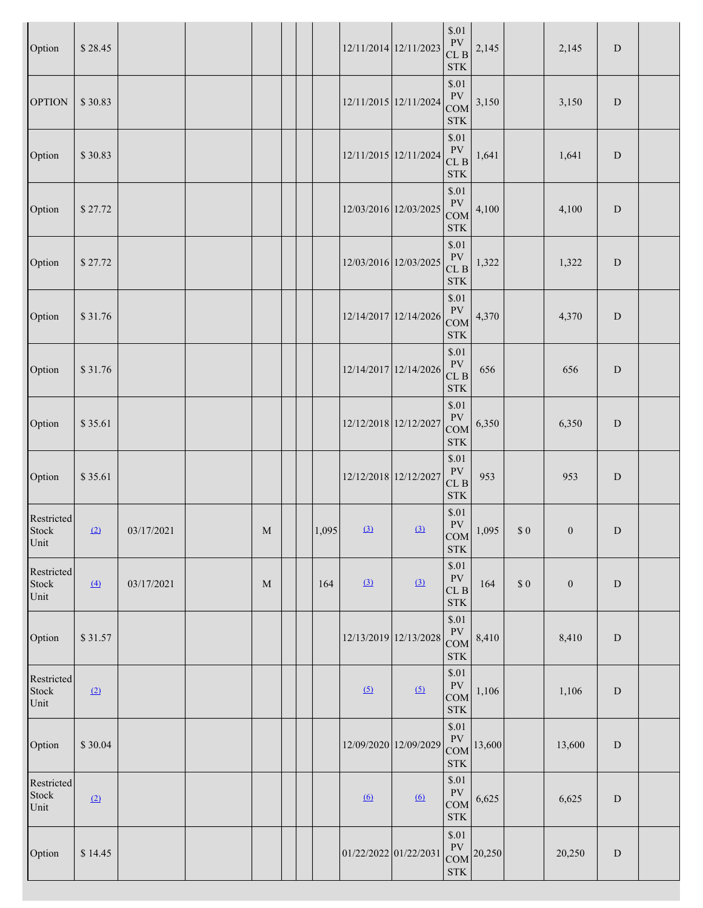| Option                      | \$28.45          |            |   |       | 12/11/2014 12/11/2023 |            | $\$.01$<br>PV<br>${\rm CL}$ B<br><b>STK</b>                | 2,145                                   |          | 2,145            | ${\rm D}$   |  |
|-----------------------------|------------------|------------|---|-------|-----------------------|------------|------------------------------------------------------------|-----------------------------------------|----------|------------------|-------------|--|
| <b>OPTION</b>               | \$30.83          |            |   |       | 12/11/2015 12/11/2024 |            | \$.01<br>${\rm PV}$<br><b>COM</b><br><b>STK</b>            | 3,150                                   |          | 3,150            | ${\rm D}$   |  |
| Option                      | \$30.83          |            |   |       | 12/11/2015 12/11/2024 |            | \$.01<br><b>PV</b><br>${\rm CL}$ B<br>$\operatorname{STK}$ | 1,641                                   |          | 1,641            | ${\bf D}$   |  |
| Option                      | \$27.72          |            |   |       | 12/03/2016 12/03/2025 |            | \$.01<br>${\rm PV}$<br>COM<br><b>STK</b>                   | 4,100                                   |          | 4,100            | ${\rm D}$   |  |
| Option                      | \$27.72          |            |   |       | 12/03/2016 12/03/2025 |            | \$.01<br>${\rm PV}$<br>CLB<br><b>STK</b>                   | 1,322                                   |          | 1,322            | ${\bf D}$   |  |
| Option                      | \$31.76          |            |   |       | 12/14/2017 12/14/2026 |            | \$.01<br>${\rm PV}$<br>COM<br><b>STK</b>                   | 4,370                                   |          | 4,370            | ${\rm D}$   |  |
| Option                      | \$31.76          |            |   |       | 12/14/2017 12/14/2026 |            | \$.01<br>${\rm PV}$<br>CLB<br>$\operatorname{STK}$         | 656                                     |          | 656              | $\mathbf D$ |  |
| Option                      | \$35.61          |            |   |       | 12/12/2018 12/12/2027 |            | \$.01<br><b>PV</b><br>COM<br>$\operatorname{STK}$          | 6,350                                   |          | 6,350            | ${\bf D}$   |  |
| Option                      | \$35.61          |            |   |       | 12/12/2018 12/12/2027 |            | \$.01<br>${\rm PV}$<br>CLB<br><b>STK</b>                   | 953                                     |          | 953              | ${\bf D}$   |  |
| Restricted<br>Stock<br>Unit | (2)              | 03/17/2021 | M | 1,095 | (3)                   | (3)        | \$.01<br>PV<br>COM<br>$\operatorname{STK}$                 | 1,095                                   | $\$$ $0$ | $\boldsymbol{0}$ | ${\bf D}$   |  |
| Restricted<br>Stock<br>Unit | $\left(4\right)$ | 03/17/2021 | M | 164   | $\Omega$              | $\Omega$   | \$.01<br>${\rm PV}$<br>CLB<br>$\operatorname{STK}$         | 164                                     | $\$$ $0$ | $\boldsymbol{0}$ | ${\rm D}$   |  |
| Option                      | \$31.57          |            |   |       | 12/13/2019 12/13/2028 |            | \$.01<br>PV<br>COM<br>$\operatorname{STK}$                 | 8,410                                   |          | 8,410            | ${\bf D}$   |  |
| Restricted<br>Stock<br>Unit | (2)              |            |   |       | $\sqrt{2}$            | (5)        | \$.01<br>${\rm PV}$<br>COM<br>STK                          | 1,106                                   |          | 1,106            | ${\rm D}$   |  |
| Option                      | \$30.04          |            |   |       | 12/09/2020 12/09/2029 |            | \$.01<br>${\rm PV}$<br>COM<br><b>STK</b>                   | 13,600                                  |          | 13,600           | ${\bf D}$   |  |
| Restricted<br>Stock<br>Unit | (2)              |            |   |       | $6 \Omega$            | $6 \Omega$ | \$.01<br>${\rm PV}$<br>COM<br>$\operatorname{STK}$         | 6,625                                   |          | 6,625            | ${\rm D}$   |  |
| Option                      | \$14.45          |            |   |       | 01/22/2022 01/22/2031 |            | \$.01<br><b>STK</b>                                        | $\frac{1 \text{ V}}{\text{COM}}$ 20,250 |          | 20,250           | ${\rm D}$   |  |